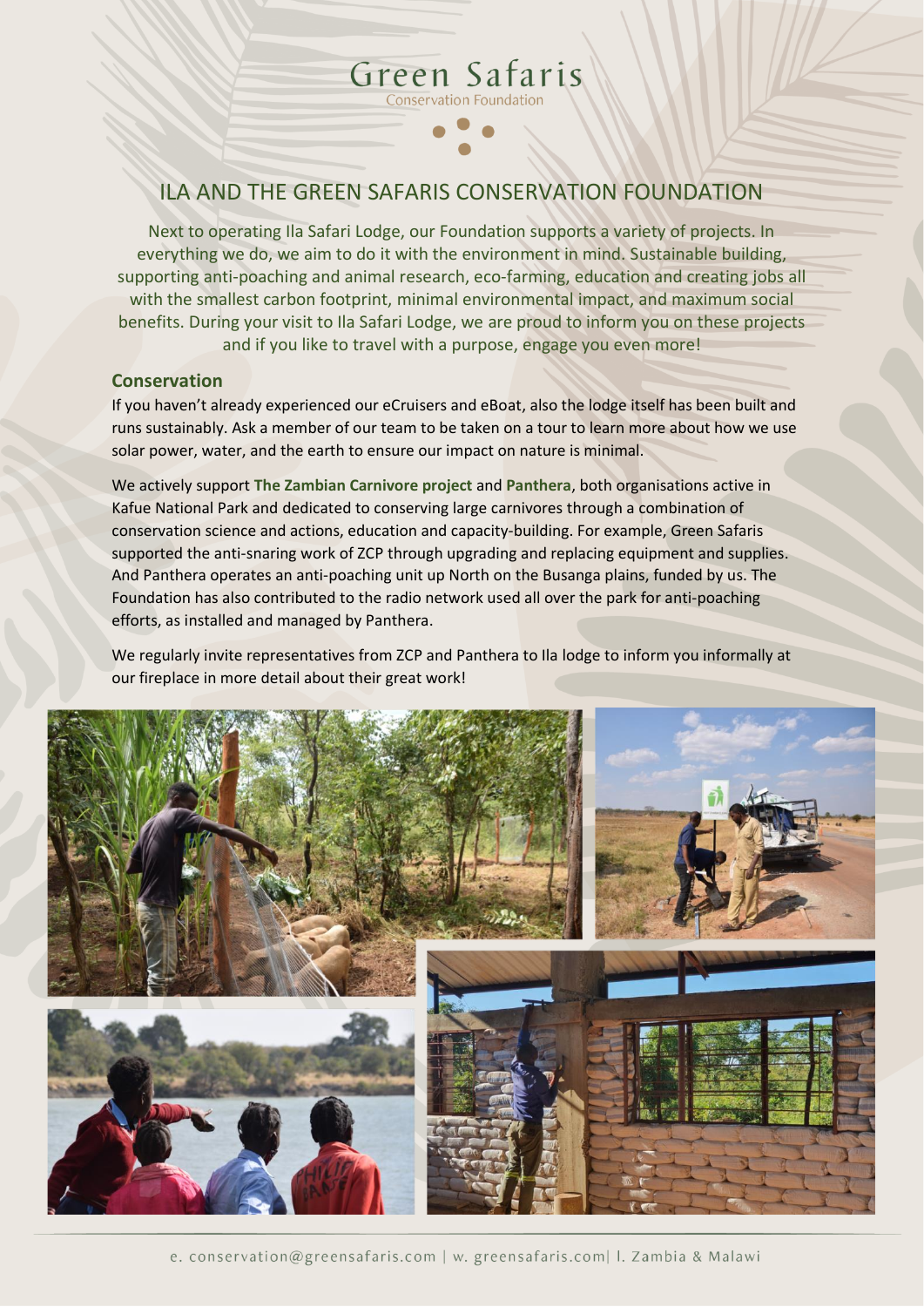# ILA AND THE GREEN SAFARIS CONSERVATION FOUNDATION

Green Safaris Conservation Foundation

Next to operating Ila Safari Lodge, our Foundation supports a variety of projects. In everything we do, we aim to do it with the environment in mind. Sustainable building, supporting anti-poaching and animal research, eco-farming, education and creating jobs all with the smallest carbon footprint, minimal environmental impact, and maximum social benefits. During your visit to Ila Safari Lodge, we are proud to inform you on these projects and if you like to travel with a purpose, engage you even more!

### **Conservation**

If you haven't already experienced our eCruisers and eBoat, also the lodge itself has been built and runs sustainably. Ask a member of our team to be taken on a tour to learn more about how we use solar power, water, and the earth to ensure our impact on nature is minimal.

We actively support **The Zambian Carnivore project** and **Panthera**, both organisations active in Kafue National Park and dedicated to conserving large carnivores through a combination of conservation science and actions, education and capacity-building. For example, Green Safaris supported the anti-snaring work of ZCP through upgrading and replacing equipment and supplies. And Panthera operates an anti-poaching unit up North on the Busanga plains, funded by us. The Foundation has also contributed to the radio network used all over the park for anti-poaching efforts, as installed and managed by Panthera.

We regularly invite representatives from ZCP and Panthera to Ila lodge to inform you informally at our fireplace in more detail about their great work!



e. conservation@greensafaris.com | w. greensafaris.com| I. Zambia & Malawi